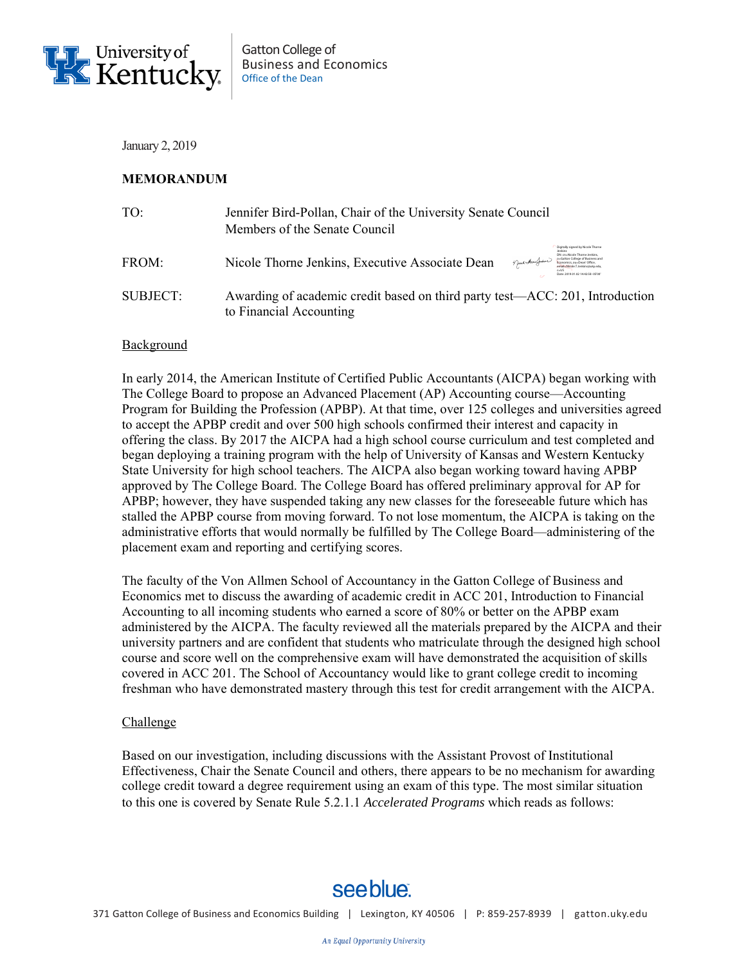

January 2, 2019

## **MEMORANDUM**

| TO:      | Jennifer Bird-Pollan, Chair of the University Senate Council<br>Members of the Senate Council                                                                                                                                                                               |
|----------|-----------------------------------------------------------------------------------------------------------------------------------------------------------------------------------------------------------------------------------------------------------------------------|
| FROM:    | Digitally signed by Nicole Thorne<br>DN: cn-Nicole Thorne Jenkins<br>o-Gatton College of Business and<br>Nicole Thorne Jenkins, Executive Associate Dean<br>Muchaufure<br>Economics, ou-Dean' Office,<br>email-Nicole.T.Jenkins@uky.edu<br>Date: 2019/01/02 14:42:58 (05)10 |
| SUBJECT: | Awarding of academic credit based on third party test—ACC: 201, Introduction<br>to Financial Accounting                                                                                                                                                                     |

## Background

In early 2014, the American Institute of Certified Public Accountants (AICPA) began working with The College Board to propose an Advanced Placement (AP) Accounting course—Accounting Program for Building the Profession (APBP). At that time, over 125 colleges and universities agreed to accept the APBP credit and over 500 high schools confirmed their interest and capacity in offering the class. By 2017 the AICPA had a high school course curriculum and test completed and began deploying a training program with the help of University of Kansas and Western Kentucky State University for high school teachers. The AICPA also began working toward having APBP approved by The College Board. The College Board has offered preliminary approval for AP for APBP; however, they have suspended taking any new classes for the foreseeable future which has stalled the APBP course from moving forward. To not lose momentum, the AICPA is taking on the administrative efforts that would normally be fulfilled by The College Board—administering of the placement exam and reporting and certifying scores.

The faculty of the Von Allmen School of Accountancy in the Gatton College of Business and Economics met to discuss the awarding of academic credit in ACC 201, Introduction to Financial Accounting to all incoming students who earned a score of 80% or better on the APBP exam administered by the AICPA. The faculty reviewed all the materials prepared by the AICPA and their university partners and are confident that students who matriculate through the designed high school course and score well on the comprehensive exam will have demonstrated the acquisition of skills covered in ACC 201. The School of Accountancy would like to grant college credit to incoming freshman who have demonstrated mastery through this test for credit arrangement with the AICPA.

## Challenge

Based on our investigation, including discussions with the Assistant Provost of Institutional Effectiveness, Chair the Senate Council and others, there appears to be no mechanism for awarding college credit toward a degree requirement using an exam of this type. The most similar situation to this one is covered by Senate Rule 5.2.1.1 *Accelerated Programs* which reads as follows:

## see blue.